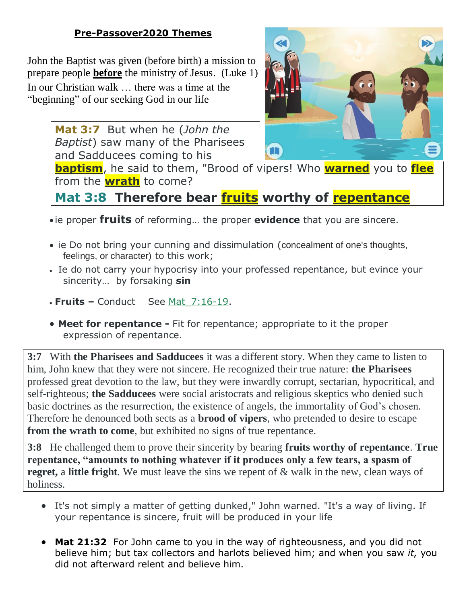#### **Pre-Passover2020 Themes**

John the Baptist was given (before birth) a mission to prepare people **before** the ministry of Jesus. (Luke 1) In our Christian walk … there was a time at the "beginning" of our seeking God in our life

> **Mat 3:7** But when he (*John the Baptist*) saw many of the Pharisees and Sadducees coming to his



**baptism**, he said to them, "Brood of vipers! Who **warned** you to **flee** from the **wrath** to come?

**Mat 3:8 Therefore bear fruits worthy of repentance**

- ie proper **fruits** of reforming… the proper **evidence** that you are sincere.
- ie Do not bring your cunning and dissimulation (concealment of one's thoughts, feelings, or character) to this work;
- In the donot carry your hypocrisy into your professed repentance, but evince your sincerity… by forsaking **sin**
- **Fruits –** Conduct See Mat\_7:16-19.
- **Meet for repentance -** Fit for repentance; appropriate to it the proper expression of repentance.

**3:7** With **the Pharisees and Sadducees** it was a different story. When they came to listen to him, John knew that they were not sincere. He recognized their true nature: **the Pharisees** professed great devotion to the law, but they were inwardly corrupt, sectarian, hypocritical, and self-righteous; **the Sadducees** were social aristocrats and religious skeptics who denied such basic doctrines as the resurrection, the existence of angels, the immortality of God's chosen. Therefore he denounced both sects as a **brood of vipers**, who pretended to desire to escape **from the wrath to come**, but exhibited no signs of true repentance.

**3:8** He challenged them to prove their sincerity by bearing **fruits worthy of repentance**. **True repentance, "amounts to nothing whatever if it produces only a few tears, a spasm of regret,** a **little fright**. We must leave the sins we repent of & walk in the new, clean ways of holiness.

- It's not simply a matter of getting dunked," John warned. "It's a way of living. If your repentance is sincere, fruit will be produced in your life
- **Mat 21:32** For John came to you in the way of righteousness, and you did not believe him; but tax collectors and harlots believed him; and when you saw *it,* you did not afterward relent and believe him.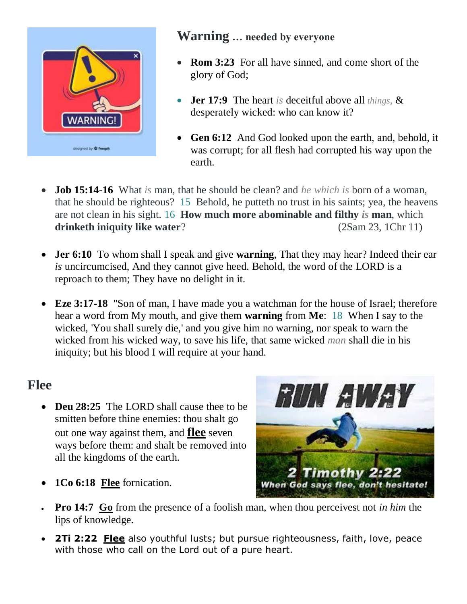

#### **Warning … needed by everyone**

- **Rom 3:23** For all have sinned, and come short of the glory of God;
- **Jer 17:9** The heart *is* deceitful above all *things,* & desperately wicked: who can know it?
- Gen 6:12 And God looked upon the earth, and, behold, it was corrupt; for all flesh had corrupted his way upon the earth.
- **Job 15:14-16** What *is* man, that he should be clean? and *he which is* born of a woman, that he should be righteous? 15 Behold, he putteth no trust in his saints; yea, the heavens are not clean in his sight. 16 **How much more abominable and filthy** *is* **man**, which drinketh iniquity like water? (2Sam 23, 1Chr 11)
- **Jer 6:10** To whom shall I speak and give **warning**, That they may hear? Indeed their ear *is* uncircumcised, And they cannot give heed. Behold, the word of the LORD is a reproach to them; They have no delight in it.
- **Eze 3:17-18** "Son of man, I have made you a watchman for the house of Israel; therefore hear a word from My mouth, and give them **warning** from **Me**: 18 When I say to the wicked, 'You shall surely die,' and you give him no warning, nor speak to warn the wicked from his wicked way, to save his life, that same wicked *man* shall die in his iniquity; but his blood I will require at your hand.

### **Flee**

• **Deu 28:25** The LORD shall cause thee to be smitten before thine enemies: thou shalt go out one way against them, and **flee** seven ways before them: and shalt be removed into all the kingdoms of the earth.



- **1Co 6:18 Flee** fornication.
- **Pro 14:7 Go** from the presence of a foolish man, when thou perceivest not *in him* the lips of knowledge.
- **2Ti 2:22 Flee** also youthful lusts; but pursue righteousness, faith, love, peace with those who call on the Lord out of a pure heart.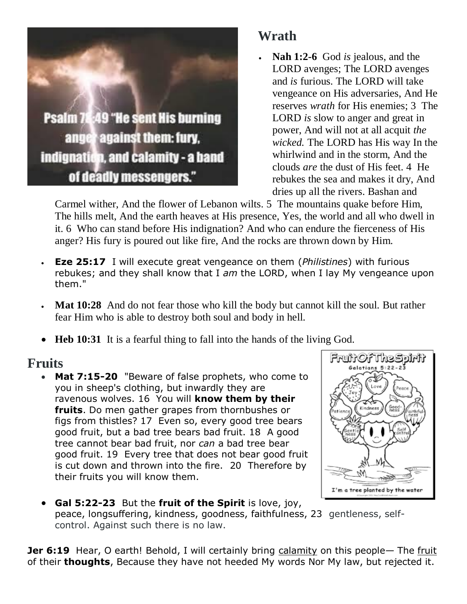

# **Wrath**

 **Nah 1:2-6** God *is* jealous, and the LORD avenges; The LORD avenges and *is* furious. The LORD will take vengeance on His adversaries, And He reserves *wrath* for His enemies; 3 The LORD *is* slow to anger and great in power, And will not at all acquit *the wicked.* The LORD has His way In the whirlwind and in the storm, And the clouds *are* the dust of His feet. 4 He rebukes the sea and makes it dry, And dries up all the rivers. Bashan and

Carmel wither, And the flower of Lebanon wilts. 5 The mountains quake before Him, The hills melt, And the earth heaves at His presence, Yes, the world and all who dwell in it. 6 Who can stand before His indignation? And who can endure the fierceness of His anger? His fury is poured out like fire, And the rocks are thrown down by Him.

- **Eze 25:17** I will execute great vengeance on them (*Philistines*) with furious rebukes; and they shall know that I *am* the LORD, when I lay My vengeance upon them."
- **Mat 10:28** And do not fear those who kill the body but cannot kill the soul. But rather fear Him who is able to destroy both soul and body in hell.
- **Heb 10:31** It is a fearful thing to fall into the hands of the living God.

### **Fruits**

 **Mat 7:15-20** "Beware of false prophets, who come to you in sheep's clothing, but inwardly they are ravenous wolves. 16 You will **know them by their fruits**. Do men gather grapes from thornbushes or figs from thistles? 17 Even so, every good tree bears good fruit, but a bad tree bears bad fruit. 18 A good tree cannot bear bad fruit, nor *can* a bad tree bear good fruit. 19 Every tree that does not bear good fruit is cut down and thrown into the fire. 20 Therefore by their fruits you will know them.



 **Gal 5:22-23** But the **fruit of the Spirit** is love, joy, peace, longsuffering, kindness, goodness, faithfulness, 23 gentleness, selfcontrol. Against such there is no law.

**Jer 6:19** Hear, O earth! Behold, I will certainly bring calamity on this people— The fruit of their **thoughts**, Because they have not heeded My words Nor My law, but rejected it.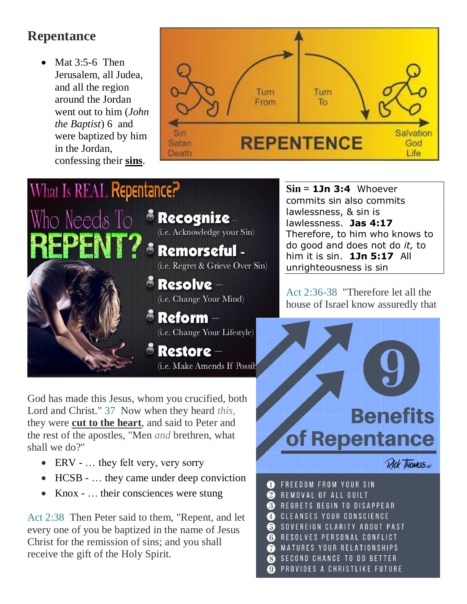## **Repentance**

 Mat 3:5-6 Then Jerusalem, all Judea, and all the region around the Jordan went out to him (*John the Baptist*) 6 and were baptized by him in the Jordan, confessing their **sins**.



## What Is REAL Repentance? Who Needs To **Recognize** (i.e. Acknowledge your Sin) **Exemorseful** -(i.e. Regret & Grieve Over Sin)  $\bullet$  Resolve  $-$ (i.e. Change Your Mind)  $\bullet$  Reform  $-$ (i.e. Change Your Lifestyle) **Exestore** (i.e. Make Amends If Possib

God has made this Jesus, whom you crucified, both Lord and Christ." 37 Now when they heard *this,* they were **cut to the heart**, and said to Peter and the rest of the apostles, "Men *and* brethren, what shall we do?"

- ERV … they felt very, very sorry
- HCSB … they came under deep conviction
- Knox … their consciences were stung

Act 2:38 Then Peter said to them, "Repent, and let every one of you be baptized in the name of Jesus Christ for the remission of sins; and you shall receive the gift of the Holy Spirit.

**Sin = 1Jn 3:4** Whoever commits sin also commits lawlessness, & sin is lawlessness. **Jas 4:17** Therefore, to him who knows to do good and does not do *it,* to him it is sin. **1Jn 5:17** All unrighteousness is sin

Act 2:36-38 "Therefore let all the house of Israel know assuredly that

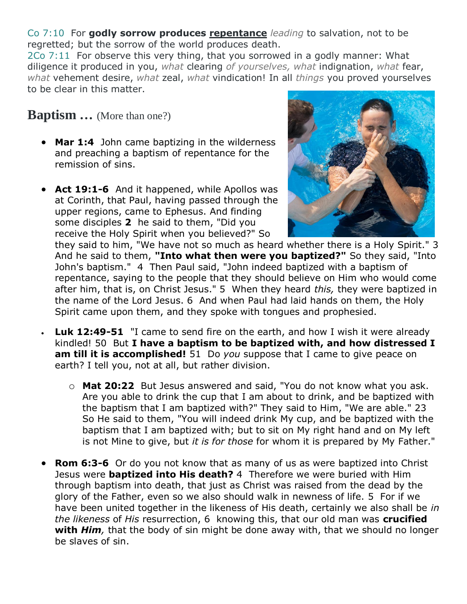Co 7:10 For **godly sorrow produces repentance** *leading* to salvation, not to be regretted; but the sorrow of the world produces death.

2Co 7:11 For observe this very thing, that you sorrowed in a godly manner: What diligence it produced in you, *what* clearing *of yourselves, what* indignation, *what* fear, *what* vehement desire, *what* zeal, *what* vindication! In all *things* you proved yourselves to be clear in this matter.

**Baptism …** (More than one?)

- **Mar 1:4** John came baptizing in the wilderness and preaching a baptism of repentance for the remission of sins.
- **Act 19:1-6** And it happened, while Apollos was at Corinth, that Paul, having passed through the upper regions, came to Ephesus. And finding some disciples **2** he said to them, "Did you receive the Holy Spirit when you believed?" So



they said to him, "We have not so much as heard whether there is a Holy Spirit." 3 And he said to them, **"Into what then were you baptized?"** So they said, "Into John's baptism." 4 Then Paul said, "John indeed baptized with a baptism of repentance, saying to the people that they should believe on Him who would come after him, that is, on Christ Jesus." 5 When they heard *this,* they were baptized in the name of the Lord Jesus. 6 And when Paul had laid hands on them, the Holy Spirit came upon them, and they spoke with tongues and prophesied.

- **Luk 12:49-51** "I came to send fire on the earth, and how I wish it were already kindled! 50 But **I have a baptism to be baptized with, and how distressed I am till it is accomplished!** 51 Do *you* suppose that I came to give peace on earth? I tell you, not at all, but rather division.
	- o **Mat 20:22** But Jesus answered and said, "You do not know what you ask. Are you able to drink the cup that I am about to drink, and be baptized with the baptism that I am baptized with?" They said to Him, "We are able." 23 So He said to them, "You will indeed drink My cup, and be baptized with the baptism that I am baptized with; but to sit on My right hand and on My left is not Mine to give, but *it is for those* for whom it is prepared by My Father."
- **Rom 6:3-6** Or do you not know that as many of us as were baptized into Christ Jesus were **baptized into His death?** 4 Therefore we were buried with Him through baptism into death, that just as Christ was raised from the dead by the glory of the Father, even so we also should walk in newness of life. 5 For if we have been united together in the likeness of His death, certainly we also shall be *in the likeness* of *His* resurrection, 6 knowing this, that our old man was **crucified with** *Him,* that the body of sin might be done away with, that we should no longer be slaves of sin.